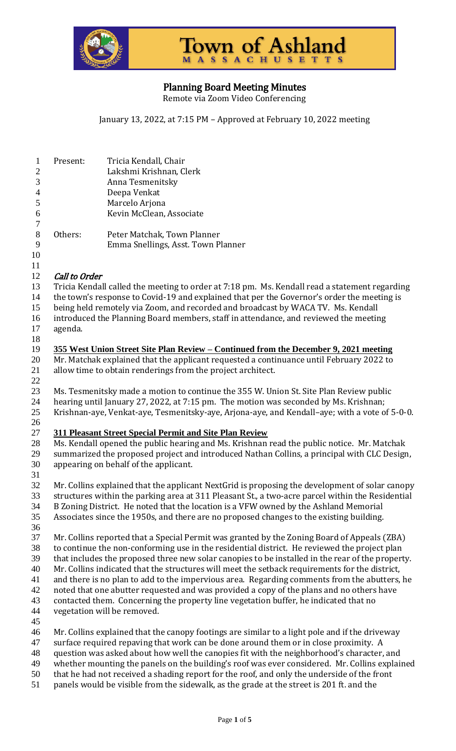



Planning Board Meeting Minutes

Remote via Zoom Video Conferencing

January 13, 2022, at 7:15 PM – Approved at February 10, 2022 meeting

- Present: Tricia Kendall, Chair Lakshmi Krishnan, Clerk Anna Tesmenitsky Deepa Venkat Marcelo Arjona Kevin McClean, Associate Others: Peter Matchak, Town Planner Emma Snellings, Asst. Town Planner 12 Call to Order Tricia Kendall called the meeting to order at 7:18 pm. Ms. Kendall read a statement regarding 14 the town's response to Covid-19 and explained that per the Governor's order the meeting is being held remotely via Zoom, and recorded and broadcast by WACA TV. Ms. Kendall introduced the Planning Board members, staff in attendance, and reviewed the meeting
- agenda.
- 

 **355 West Union Street Site Plan Review – Continued from the December 9, 2021 meeting** Mr. Matchak explained that the applicant requested a continuance until February 2022 to

- allow time to obtain renderings from the project architect.
- Ms. Tesmenitsky made a motion to continue the 355 W. Union St. Site Plan Review public hearing until January 27, 2022, at 7:15 pm. The motion was seconded by Ms. Krishnan; Krishnan-aye, Venkat-aye, Tesmenitsky-aye, Arjona-aye, and Kendall–aye; with a vote of 5-0-0.
- **311 Pleasant Street Special Permit and Site Plan Review**
- Ms. Kendall opened the public hearing and Ms. Krishnan read the public notice. Mr. Matchak summarized the proposed project and introduced Nathan Collins, a principal with CLC Design, appearing on behalf of the applicant.
- Mr. Collins explained that the applicant NextGrid is proposing the development of solar canopy structures within the parking area at 311 Pleasant St., a two-acre parcel within the Residential B Zoning District. He noted that the location is a VFW owned by the Ashland Memorial Associates since the 1950s, and there are no proposed changes to the existing building.
- Mr. Collins reported that a Special Permit was granted by the Zoning Board of Appeals (ZBA)
- to continue the non-conforming use in the residential district. He reviewed the project plan that includes the proposed three new solar canopies to be installed in the rear of the property.
- Mr. Collins indicated that the structures will meet the setback requirements for the district,
- and there is no plan to add to the impervious area. Regarding comments from the abutters, he
- noted that one abutter requested and was provided a copy of the plans and no others have
- contacted them. Concerning the property line vegetation buffer, he indicated that no
- vegetation will be removed.
- 
- Mr. Collins explained that the canopy footings are similar to a light pole and if the driveway
- surface required repaving that work can be done around them or in close proximity. A
- question was asked about how well the canopies fit with the neighborhood's character, and whether mounting the panels on the building's roof was ever considered. Mr. Collins explained
- that he had not received a shading report for the roof, and only the underside of the front
- panels would be visible from the sidewalk, as the grade at the street is 201 ft. and the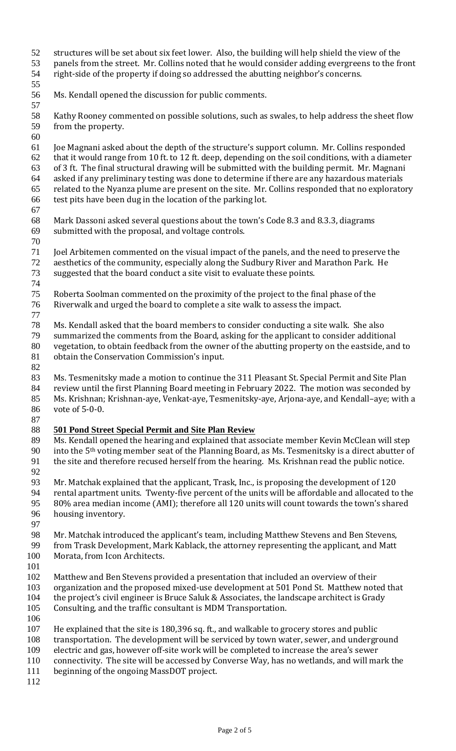- structures will be set about six feet lower. Also, the building will help shield the view of the
- panels from the street. Mr. Collins noted that he would consider adding evergreens to the front right-side of the property if doing so addressed the abutting neighbor's concerns.
- 
- Ms. Kendall opened the discussion for public comments.
- Kathy Rooney commented on possible solutions, such as swales, to help address the sheet flow from the property.
- Joe Magnani asked about the depth of the structure's support column. Mr. Collins responded that it would range from 10 ft. to 12 ft. deep, depending on the soil conditions, with a diameter of 3 ft. The final structural drawing will be submitted with the building permit. Mr. Magnani asked if any preliminary testing was done to determine if there are any hazardous materials related to the Nyanza plume are present on the site. Mr. Collins responded that no exploratory test pits have been dug in the location of the parking lot.
- 
- Mark Dassoni asked several questions about the town's Code 8.3 and 8.3.3, diagrams submitted with the proposal, and voltage controls.
- Joel Arbitemen commented on the visual impact of the panels, and the need to preserve the aesthetics of the community, especially along the Sudbury River and Marathon Park. He suggested that the board conduct a site visit to evaluate these points.
- 
- Roberta Soolman commented on the proximity of the project to the final phase of the Riverwalk and urged the board to complete a site walk to assess the impact.
- 
- Ms. Kendall asked that the board members to consider conducting a site walk. She also
- summarized the comments from the Board, asking for the applicant to consider additional vegetation, to obtain feedback from the owner of the abutting property on the eastside, and to obtain the Conservation Commission's input.
- 
- Ms. Tesmenitsky made a motion to continue the 311 Pleasant St. Special Permit and Site Plan review until the first Planning Board meeting in February 2022. The motion was seconded by Ms. Krishnan; Krishnan-aye, Venkat-aye, Tesmenitsky-aye, Arjona-aye, and Kendall–aye; with a vote of 5-0-0.
- **501 Pond Street Special Permit and Site Plan Review**
- Ms. Kendall opened the hearing and explained that associate member Kevin McClean will step 90 into the  $5<sup>th</sup>$  voting member seat of the Planning Board, as Ms. Tesmenitsky is a direct abutter of the site and therefore recused herself from the hearing. Ms. Krishnan read the public notice.
- 
- Mr. Matchak explained that the applicant, Trask, Inc., is proposing the development of 120 rental apartment units. Twenty-five percent of the units will be affordable and allocated to the 80% area median income (AMI); therefore all 120 units will count towards the town's shared housing inventory.
- 
- Mr. Matchak introduced the applicant's team, including Matthew Stevens and Ben Stevens,
- from Trask Development, Mark Kablack, the attorney representing the applicant, and Matt Morata, from Icon Architects.
- 
- Matthew and Ben Stevens provided a presentation that included an overview of their
- organization and the proposed mixed-use development at 501 Pond St. Matthew noted that 104 the project's civil engineer is Bruce Saluk & Associates, the landscape architect is Grady
- Consulting, and the traffic consultant is MDM Transportation.
- 
- He explained that the site is 180,396 sq. ft., and walkable to grocery stores and public
- transportation. The development will be serviced by town water, sewer, and underground
- electric and gas, however off-site work will be completed to increase the area's sewer
- connectivity. The site will be accessed by Converse Way, has no wetlands, and will mark the
- beginning of the ongoing MassDOT project.
-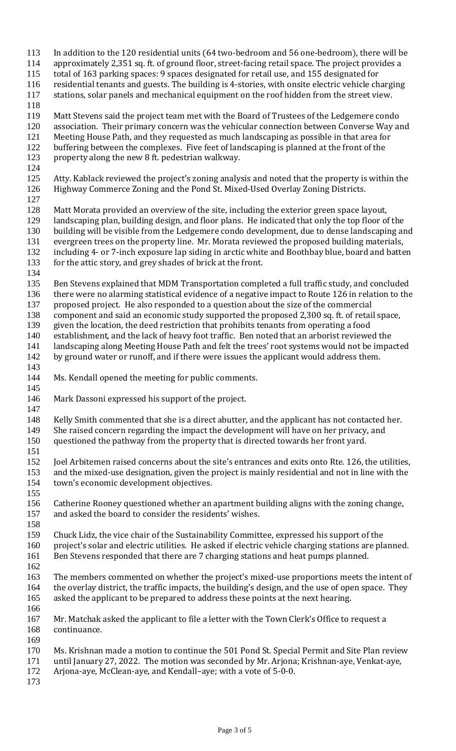- In addition to the 120 residential units (64 two-bedroom and 56 one-bedroom), there will be
- approximately 2,351 sq. ft. of ground floor, street-facing retail space. The project provides a
- total of 163 parking spaces: 9 spaces designated for retail use, and 155 designated for
- residential tenants and guests. The building is 4-stories, with onsite electric vehicle charging
- stations, solar panels and mechanical equipment on the roof hidden from the street view.
- 
- Matt Stevens said the project team met with the Board of Trustees of the Ledgemere condo
- association. Their primary concern was the vehicular connection between Converse Way and
- Meeting House Path, and they requested as much landscaping as possible in that area for
- buffering between the complexes. Five feet of landscaping is planned at the front of the
- property along the new 8 ft. pedestrian walkway.
- 
- Atty. Kablack reviewed the project's zoning analysis and noted that the property is within the Highway Commerce Zoning and the Pond St. Mixed-Used Overlay Zoning Districts.
- 
- Matt Morata provided an overview of the site, including the exterior green space layout,
- landscaping plan, building design, and floor plans. He indicated that only the top floor of the
- building will be visible from the Ledgemere condo development, due to dense landscaping and
- evergreen trees on the property line. Mr. Morata reviewed the proposed building materials,
- including 4- or 7-inch exposure lap siding in arctic white and Boothbay blue, board and batten
- for the attic story, and grey shades of brick at the front.
- 
- Ben Stevens explained that MDM Transportation completed a full traffic study, and concluded
- there were no alarming statistical evidence of a negative impact to Route 126 in relation to the proposed project. He also responded to a question about the size of the commercial
- component and said an economic study supported the proposed 2,300 sq. ft. of retail space,
- given the location, the deed restriction that prohibits tenants from operating a food
- establishment, and the lack of heavy foot traffic. Ben noted that an arborist reviewed the
- landscaping along Meeting House Path and felt the trees' root systems would not be impacted
- 142 by ground water or runoff, and if there were issues the applicant would address them.
- 
- Ms. Kendall opened the meeting for public comments.
- Mark Dassoni expressed his support of the project.
- 
- 148 Kelly Smith commented that she is a direct abutter, and the applicant has not contacted her. She raised concern regarding the impact the development will have on her privacy, and
- questioned the pathway from the property that is directed towards her front yard.
- 

 Joel Arbitemen raised concerns about the site's entrances and exits onto Rte. 126, the utilities, and the mixed-use designation, given the project is mainly residential and not in line with the town's economic development objectives.

- 
- Catherine Rooney questioned whether an apartment building aligns with the zoning change, and asked the board to consider the residents' wishes.
- 
- Chuck Lidz, the vice chair of the Sustainability Committee, expressed his support of the
- project's solar and electric utilities. He asked if electric vehicle charging stations are planned. Ben Stevens responded that there are 7 charging stations and heat pumps planned.
- 
- The members commented on whether the project's mixed-use proportions meets the intent of the overlay district, the traffic impacts, the building's design, and the use of open space. They
- asked the applicant to be prepared to address these points at the next hearing.
- 
- 167 Mr. Matchak asked the applicant to file a letter with the Town Clerk's Office to request a continuance.
- 
- Ms. Krishnan made a motion to continue the 501 Pond St. Special Permit and Site Plan review until January 27, 2022. The motion was seconded by Mr. Arjona; Krishnan-aye, Venkat-aye, Arjona-aye, McClean-aye, and Kendall–aye; with a vote of 5-0-0.
-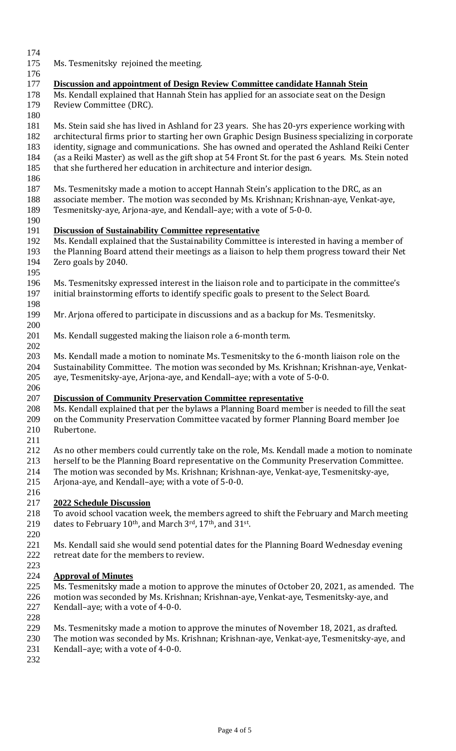- Ms. Tesmenitsky rejoined the meeting. **Discussion and appointment of Design Review Committee candidate Hannah Stein**  Ms. Kendall explained that Hannah Stein has applied for an associate seat on the Design Review Committee (DRC). Ms. Stein said she has lived in Ashland for 23 years. She has 20-yrs experience working with architectural firms prior to starting her own Graphic Design Business specializing in corporate identity, signage and communications. She has owned and operated the Ashland Reiki Center (as a Reiki Master) as well as the gift shop at 54 Front St. for the past 6 years. Ms. Stein noted that she furthered her education in architecture and interior design. Ms. Tesmenitsky made a motion to accept Hannah Stein's application to the DRC, as an associate member. The motion was seconded by Ms. Krishnan; Krishnan-aye, Venkat-aye, Tesmenitsky-aye, Arjona-aye, and Kendall–aye; with a vote of 5-0-0. **Discussion of Sustainability Committee representative**  Ms. Kendall explained that the Sustainability Committee is interested in having a member of the Planning Board attend their meetings as a liaison to help them progress toward their Net Zero goals by 2040. Ms. Tesmenitsky expressed interest in the liaison role and to participate in the committee's initial brainstorming efforts to identify specific goals to present to the Select Board. Mr. Arjona offered to participate in discussions and as a backup for Ms. Tesmenitsky. Ms. Kendall suggested making the liaison role a 6-month term. Ms. Kendall made a motion to nominate Ms. Tesmenitsky to the 6-month liaison role on the Sustainability Committee. The motion was seconded by Ms. Krishnan; Krishnan-aye, Venkat- aye, Tesmenitsky-aye, Arjona-aye, and Kendall–aye; with a vote of 5-0-0. **Discussion of Community Preservation Committee representative** Ms. Kendall explained that per the bylaws a Planning Board member is needed to fill the seat on the Community Preservation Committee vacated by former Planning Board member Joe Rubertone. As no other members could currently take on the role, Ms. Kendall made a motion to nominate herself to be the Planning Board representative on the Community Preservation Committee. The motion was seconded by Ms. Krishnan; Krishnan-aye, Venkat-aye, Tesmenitsky-aye, Arjona-aye, and Kendall–aye; with a vote of 5-0-0. **2022 Schedule Discussion**  To avoid school vacation week, the members agreed to shift the February and March meeting 219 dates to February  $10^{\text{th}}$ , and March 3rd, 17<sup>th</sup>, and 31<sup>st</sup>. Ms. Kendall said she would send potential dates for the Planning Board Wednesday evening retreat date for the members to review. **Approval of Minutes**  Ms. Tesmenitsky made a motion to approve the minutes of October 20, 2021, as amended. The motion was seconded by Ms. Krishnan; Krishnan-aye, Venkat-aye, Tesmenitsky-aye, and Kendall–aye; with a vote of 4-0-0. Ms. Tesmenitsky made a motion to approve the minutes of November 18, 2021, as drafted. The motion was seconded by Ms. Krishnan; Krishnan-aye, Venkat-aye, Tesmenitsky-aye, and Kendall–aye; with a vote of 4-0-0.
-